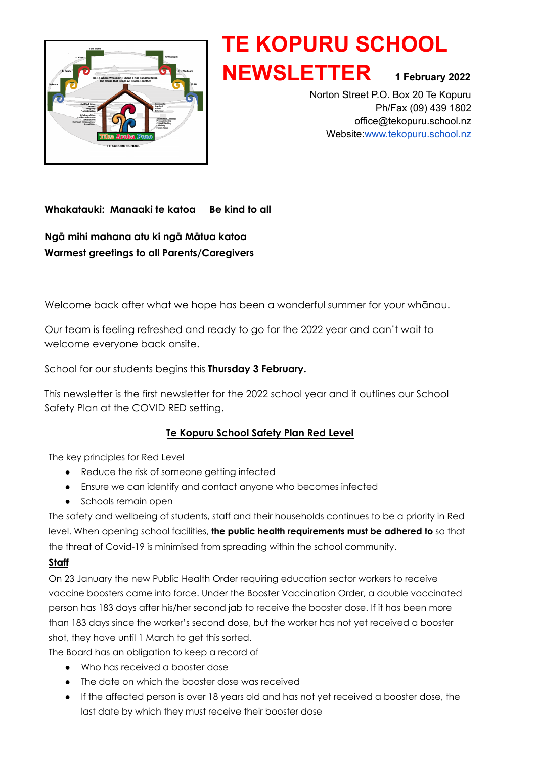

# **TE KOPURU SCHOOL NEWSLETTER <sup>1</sup> February <sup>2022</sup>**

Norton Street P.O. Box 20 Te Kopuru Ph/Fax (09) 439 1802 office@tekopuru.school.nz Website:[www.tekopuru.school.nz](http://www.tekopuru.school.nz)

# **Whakatauki: Manaaki te katoa Be kind to all**

**Ngā mihi mahana atu ki ngā Mātua katoa Warmest greetings to all Parents/Caregivers**

Welcome back after what we hope has been a wonderful summer for your whānau.

Our team is feeling refreshed and ready to go for the 2022 year and can't wait to welcome everyone back onsite.

School for our students begins this **Thursday 3 February.**

This newsletter is the first newsletter for the 2022 school year and it outlines our School Safety Plan at the COVID RED setting.

# **Te Kopuru School Safety Plan Red Level**

The key principles for Red Level

- Reduce the risk of someone getting infected
- Ensure we can identify and contact anyone who becomes infected
- Schools remain open

The safety and wellbeing of students, staff and their households continues to be a priority in Red level. When opening school facilities, **the public health requirements must be adhered to** so that the threat of Covid-19 is minimised from spreading within the school community.

# **Staff**

On 23 January the new Public Health Order requiring education sector workers to receive vaccine boosters came into force. Under the Booster Vaccination Order, a double vaccinated person has 183 days after his/her second jab to receive the booster dose. If it has been more than 183 days since the worker's second dose, but the worker has not yet received a booster shot, they have until 1 March to get this sorted.

The Board has an obligation to keep a record of

- Who has received a booster dose
- The date on which the booster dose was received
- If the affected person is over 18 years old and has not yet received a booster dose, the last date by which they must receive their booster dose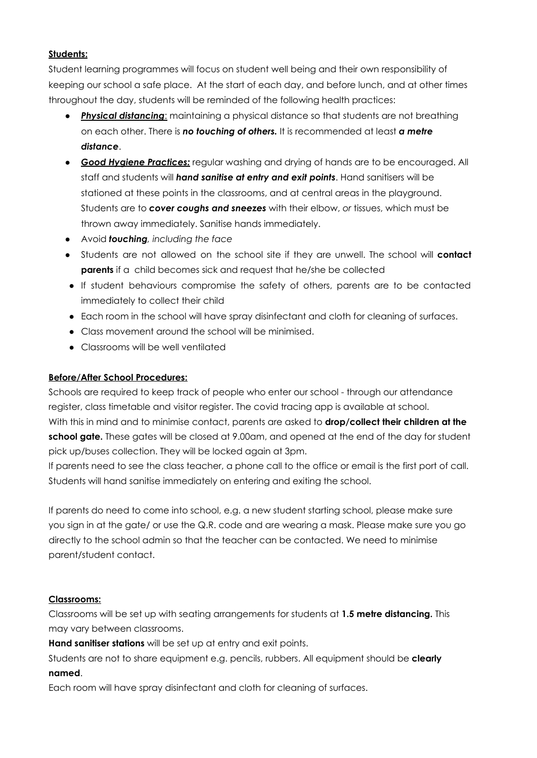## **Students:**

Student learning programmes will focus on student well being and their own responsibility of keeping our school a safe place. At the start of each day, and before lunch, and at other times throughout the day, students will be reminded of the following health practices:

- **Physical distancing:** maintaining a physical distance so that students are not breathing on each other. There is *no touching of others.* It is recommended at least *a metre distance*.
- *Good Hygiene Practices:* regular washing and drying of hands are to be encouraged. All staff and students will *hand sanitise at entry and exit points*. Hand sanitisers will be stationed at these points in the classrooms, and at central areas in the playground. Students are to *cover coughs and sneezes* with their elbow, *or* tissues, which must be thrown away immediately. Sanitise hands immediately.
- Avoid *touching, including the face*
- Students are not allowed on the school site if they are unwell. The school will **contact parents** if a child becomes sick and request that he/she be collected
- If student behaviours compromise the safety of others, parents are to be contacted immediately to collect their child
- Each room in the school will have spray disinfectant and cloth for cleaning of surfaces.
- Class movement around the school will be minimised.
- Classrooms will be well ventilated

#### **Before/After School Procedures:**

Schools are required to keep track of people who enter our school - through our attendance register, class timetable and visitor register. The covid tracing app is available at school. With this in mind and to minimise contact, parents are asked to **drop/collect their children at the school gate.** These gates will be closed at 9.00am, and opened at the end of the day for student pick up/buses collection. They will be locked again at 3pm.

If parents need to see the class teacher, a phone call to the office or email is the first port of call. Students will hand sanitise immediately on entering and exiting the school.

If parents do need to come into school, e.g. a new student starting school, please make sure you sign in at the gate/ or use the Q.R. code and are wearing a mask. Please make sure you go directly to the school admin so that the teacher can be contacted. We need to minimise parent/student contact.

#### **Classrooms:**

Classrooms will be set up with seating arrangements for students at **1.5 metre distancing.** This may vary between classrooms.

**Hand sanitiser stations** will be set up at entry and exit points.

Students are not to share equipment e.g. pencils, rubbers. All equipment should be **clearly named**.

Each room will have spray disinfectant and cloth for cleaning of surfaces.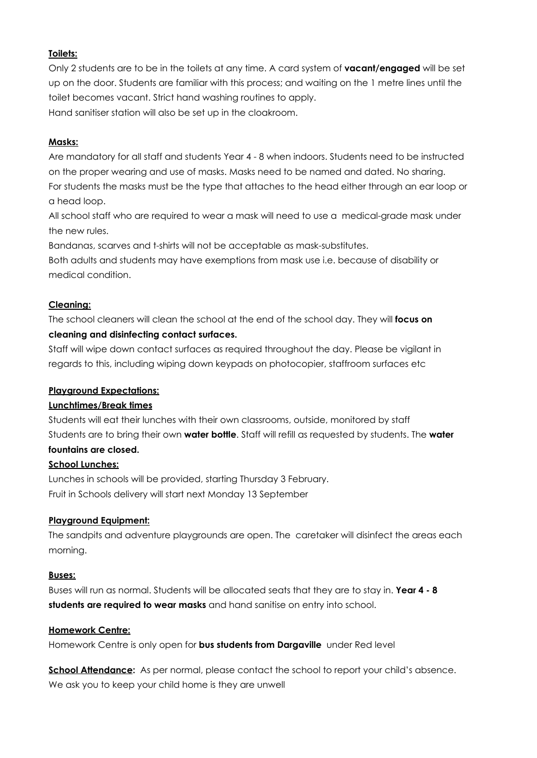## **Toilets:**

Only 2 students are to be in the toilets at any time. A card system of **vacant/engaged** will be set up on the door. Students are familiar with this process; and waiting on the 1 metre lines until the toilet becomes vacant. Strict hand washing routines to apply. Hand sanitiser station will also be set up in the cloakroom.

#### **Masks:**

Are mandatory for all staff and students Year 4 - 8 when indoors. Students need to be instructed on the proper wearing and use of masks. Masks need to be named and dated. No sharing. For students the masks must be the type that attaches to the head either through an ear loop or a head loop.

All school staff who are required to wear a mask will need to use a medical-grade mask under the new rules.

Bandanas, scarves and t-shirts will not be acceptable as mask-substitutes.

Both adults and students may have exemptions from mask use i.e. because of disability or medical condition.

## **Cleaning:**

The school cleaners will clean the school at the end of the school day. They will **focus on cleaning and disinfecting contact surfaces.**

Staff will wipe down contact surfaces as required throughout the day. Please be vigilant in regards to this, including wiping down keypads on photocopier, staffroom surfaces etc

#### **Playground Expectations:**

#### **Lunchtimes/Break times**

Students will eat their lunches with their own classrooms, outside, monitored by staff Students are to bring their own **water bottle**. Staff will refill as requested by students. The **water fountains are closed.**

#### **School Lunches:**

Lunches in schools will be provided, starting Thursday 3 February. Fruit in Schools delivery will start next Monday 13 September

#### **Playground Equipment:**

The sandpits and adventure playgrounds are open. The caretaker will disinfect the areas each morning.

#### **Buses:**

Buses will run as normal. Students will be allocated seats that they are to stay in. **Year 4 - 8 students are required to wear masks** and hand sanitise on entry into school.

#### **Homework Centre:**

Homework Centre is only open for **bus students from Dargaville** under Red level

**School Attendance:** As per normal, please contact the school to report your child's absence. We ask you to keep your child home is they are unwell